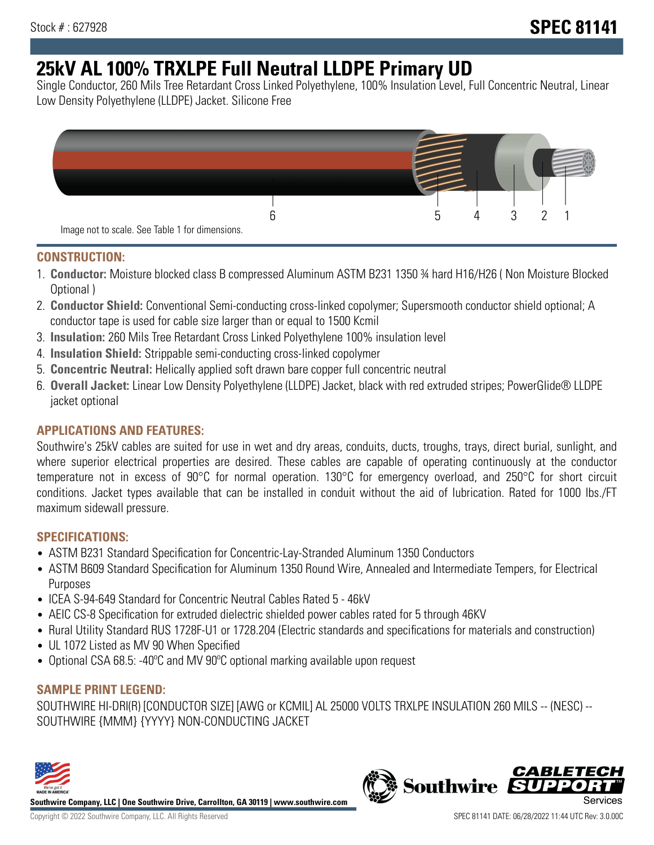# **25kV AL 100% TRXLPE Full Neutral LLDPE Primary UD**

Single Conductor, 260 Mils Tree Retardant Cross Linked Polyethylene, 100% Insulation Level, Full Concentric Neutral, Linear Low Density Polyethylene (LLDPE) Jacket. Silicone Free



### **CONSTRUCTION:**

- 1. **Conductor:** Moisture blocked class B compressed Aluminum ASTM B231 1350 ¾ hard H16/H26 ( Non Moisture Blocked Optional )
- 2. **Conductor Shield:** Conventional Semi-conducting cross-linked copolymer; Supersmooth conductor shield optional; A conductor tape is used for cable size larger than or equal to 1500 Kcmil
- 3. **Insulation:** 260 Mils Tree Retardant Cross Linked Polyethylene 100% insulation level
- 4. **Insulation Shield:** Strippable semi-conducting cross-linked copolymer
- 5. **Concentric Neutral:** Helically applied soft drawn bare copper full concentric neutral
- 6. **Overall Jacket:** Linear Low Density Polyethylene (LLDPE) Jacket, black with red extruded stripes; PowerGlide® LLDPE jacket optional

## **APPLICATIONS AND FEATURES:**

Southwire's 25kV cables are suited for use in wet and dry areas, conduits, ducts, troughs, trays, direct burial, sunlight, and where superior electrical properties are desired. These cables are capable of operating continuously at the conductor temperature not in excess of 90°C for normal operation. 130°C for emergency overload, and 250°C for short circuit conditions. Jacket types available that can be installed in conduit without the aid of lubrication. Rated for 1000 lbs./FT maximum sidewall pressure.

## **SPECIFICATIONS:**

- ASTM B231 Standard Specification for Concentric-Lay-Stranded Aluminum 1350 Conductors
- ASTM B609 Standard Specification for Aluminum 1350 Round Wire, Annealed and Intermediate Tempers, for Electrical Purposes
- ICEA S-94-649 Standard for Concentric Neutral Cables Rated 5 46kV
- AEIC CS-8 Specification for extruded dielectric shielded power cables rated for 5 through 46KV
- Rural Utility Standard RUS 1728F-U1 or 1728.204 (Electric standards and specifications for materials and construction)
- UL 1072 Listed as MV 90 When Specified
- Optional CSA 68.5: -40ºC and MV 90ºC optional marking available upon request

## **SAMPLE PRINT LEGEND:**

SOUTHWIRE HI-DRI(R) [CONDUCTOR SIZE] [AWG or KCMIL] AL 25000 VOLTS TRXLPE INSULATION 260 MILS -- (NESC) -- SOUTHWIRE {MMM} {YYYY} NON-CONDUCTING JACKET



**Southwire Company, LLC | One Southwire Drive, Carrollton, GA 30119 | www.southwire.com**

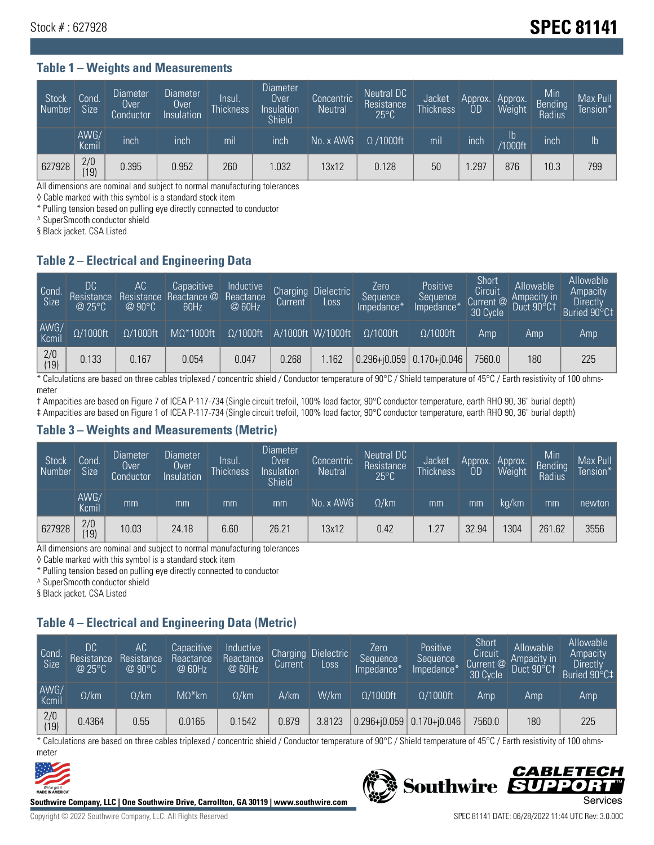#### **Table 1 – Weights and Measurements**

| Stock<br>  Number | Cond<br><b>Size</b> | <b>Diameter</b><br>Over<br>Conductor | <b>Diameter</b><br>Over<br>Insulation | Insul.<br><b>Thickness</b> | <b>Diameter</b><br>Over<br>Insulation<br><b>Shield</b> | Concentric<br><b>Neutral</b> | Neutral DC<br>Resistance<br>$25^{\circ}C$ | Jacket<br><b>Thickness</b> | Approx.<br>0D | Approx.<br>Weight               | Min<br>Bending<br>Radius | Max Pull<br>Tension* |
|-------------------|---------------------|--------------------------------------|---------------------------------------|----------------------------|--------------------------------------------------------|------------------------------|-------------------------------------------|----------------------------|---------------|---------------------------------|--------------------------|----------------------|
|                   | AWG/<br>Kcmil       | inch                                 | inch                                  | mil                        | inch                                                   | No. x AWG                    | $\Omega$ /1000ft                          | mil                        | inch          | $\mathsf{lb}$<br><b>Y1000ft</b> | inch                     | lb                   |
| 627928            | 2/0<br>(19)         | 0.395                                | 0.952                                 | 260                        | .032                                                   | 13x12                        | 0.128                                     | 50                         | .297          | 876                             | 10.3                     | 799                  |

All dimensions are nominal and subject to normal manufacturing tolerances

◊ Cable marked with this symbol is a standard stock item

\* Pulling tension based on pulling eye directly connected to conductor

^ SuperSmooth conductor shield

§ Black jacket. CSA Listed

#### **Table 2 – Electrical and Engineering Data**

| Cond.<br>Size | 'DC.<br>Resistance<br>$\circledR$ 25°C $^\circ$ | AC<br>Resistance<br>$\varpi$ 90°C | Capacitive<br>Reactance @<br>60Hz | Inductive<br>Reactance<br>@ 60Hz | Charging<br>Current | <b>Dielectric</b><br>Loss | Zero<br>Sequence<br>Impedance* | Positive<br>Sequence<br>Impedance <sup>®</sup> | Short<br>Circuit<br>Current @<br>30 Cycle | Allowable<br>Ampacity in<br>Duct 90°C† | Allowable<br>Ampacity<br><b>Directly</b><br>Buried 90°C‡ |
|---------------|-------------------------------------------------|-----------------------------------|-----------------------------------|----------------------------------|---------------------|---------------------------|--------------------------------|------------------------------------------------|-------------------------------------------|----------------------------------------|----------------------------------------------------------|
| AWG/<br>Kcmil | $\Omega/1000$ ft                                | $\Omega/1000$ ft                  | $M\Omega^*1000$ ft                | $\Omega/1000$ ft                 |                     | A/1000ft W/1000ft         | $\Omega/1000$ ft               | $\Omega$ /1000ft                               | Amp                                       | Amp                                    | Amp                                                      |
| 2/0<br>(19)   | 0.133                                           | 0.167                             | 0.054                             | 0.047                            | 0.268               | .162                      | $0.296 + 0.059$                | $0.170 + j0.046$                               | 7560.0                                    | 180                                    | 225                                                      |

\* Calculations are based on three cables triplexed / concentric shield / Conductor temperature of 90°C / Shield temperature of 45°C / Earth resistivity of 100 ohmsmeter

† Ampacities are based on Figure 7 of ICEA P-117-734 (Single circuit trefoil, 100% load factor, 90°C conductor temperature, earth RHO 90, 36" burial depth)

‡ Ampacities are based on Figure 1 of ICEA P-117-734 (Single circuit trefoil, 100% load factor, 90°C conductor temperature, earth RHO 90, 36" burial depth)

#### **Table 3 – Weights and Measurements (Metric)**

| Stock<br>Number | Cond.<br>Size <sup>1</sup> | <b>Diameter</b><br>Over<br>Conductor | <b>Diameter</b><br>Over<br>Insulation | Insul.<br><b>Thickness</b> | <b>Diameter</b><br>Over<br>Insulation<br><b>Shield</b> | Concentric<br><b>Neutral</b> | Neutral DC<br>Resistance<br>$25^{\circ}$ C | Jacket<br><b>Thickness</b> | Approx.<br>OD | Approx.<br>Weight | Min<br>Bending<br>Radius | Max Pull<br>Tension* |
|-----------------|----------------------------|--------------------------------------|---------------------------------------|----------------------------|--------------------------------------------------------|------------------------------|--------------------------------------------|----------------------------|---------------|-------------------|--------------------------|----------------------|
|                 | AWG/<br>Kcmil              | mm                                   | mm                                    | mm                         | mm                                                     | No. x AWG                    | $\Omega$ /km                               | mm                         | mm            | ka/km             | mm                       | newton               |
| 627928          | 2/0<br>(19)                | 10.03                                | 24.18                                 | 6.60                       | 26.21                                                  | 13x12                        | 0.42                                       | 1.27                       | 32.94         | 1304              | 261.62                   | 3556                 |

All dimensions are nominal and subject to normal manufacturing tolerances

◊ Cable marked with this symbol is a standard stock item

\* Pulling tension based on pulling eye directly connected to conductor

^ SuperSmooth conductor shield

§ Black jacket. CSA Listed

#### **Table 4 – Electrical and Engineering Data (Metric)**

| Cond<br>Size          | DC<br>Resistance<br>@ 25°C | АC<br>Resistance<br>$@90^{\circ}C$ | Capacitive<br>Reactance<br>@ 60Hz | Inductive<br>Reactance<br>@ 60Hz | Charging<br>Current | <b>Dielectric</b><br>Loss | Zero<br>Sequence<br>Impedance* | Positive<br>Sequence<br>Impedance* | <b>Short</b><br>Circuit<br>Current @<br>30 Cycle | Allowable<br>Ampacity in<br>Duct 90°C1 | Allowable<br>Ampacity<br>Directly<br>Buried 90°C‡ |
|-----------------------|----------------------------|------------------------------------|-----------------------------------|----------------------------------|---------------------|---------------------------|--------------------------------|------------------------------------|--------------------------------------------------|----------------------------------------|---------------------------------------------------|
| AWG/<br>Kcmil         | $\Omega$ /km               | $\Omega$ /km                       | $M\Omega^*$ km                    | $\Omega$ /km                     | A/km                | W/km                      | $\Omega/1000$ ft               | $\Omega/1000$ ft                   | Amp                                              | Amp                                    | Amp                                               |
| $\frac{2}{0}$<br>(19) | 0.4364                     | 0.55                               | 0.0165                            | 0.1542                           | 0.879               | 3.8123                    |                                | $0.296 + 0.059$ 0.170+ $0.046$     | 7560.0                                           | 180                                    | 225                                               |

\* Calculations are based on three cables triplexed / concentric shield / Conductor temperature of 90°C / Shield temperature of 45°C / Earth resistivity of 100 ohmsmeter



**Southwire Company, LLC | One Southwire Drive, Carrollton, GA 30119 | www.southwire.com**